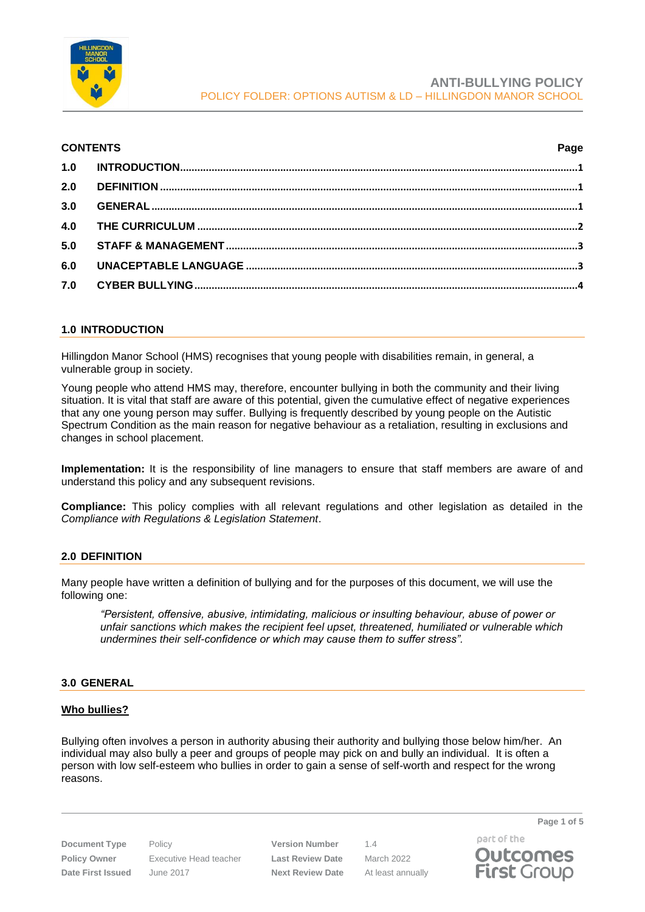

### **CONTENTS Page**

| 2.0 |  |
|-----|--|
| 3.0 |  |
|     |  |
| 5.0 |  |
| 6.0 |  |
|     |  |
|     |  |

## <span id="page-0-0"></span>**1.0 INTRODUCTION**

Hillingdon Manor School (HMS) recognises that young people with disabilities remain, in general, a vulnerable group in society.

Young people who attend HMS may, therefore, encounter bullying in both the community and their living situation. It is vital that staff are aware of this potential, given the cumulative effect of negative experiences that any one young person may suffer. Bullying is frequently described by young people on the Autistic Spectrum Condition as the main reason for negative behaviour as a retaliation, resulting in exclusions and changes in school placement.

**Implementation:** It is the responsibility of line managers to ensure that staff members are aware of and understand this policy and any subsequent revisions.

**Compliance:** This policy complies with all relevant regulations and other legislation as detailed in the *Compliance with Regulations & Legislation Statement*.

# <span id="page-0-1"></span>**2.0 DEFINITION**

Many people have written a definition of bullying and for the purposes of this document, we will use the following one:

*"Persistent, offensive, abusive, intimidating, malicious or insulting behaviour, abuse of power or unfair sanctions which makes the recipient feel upset, threatened, humiliated or vulnerable which undermines their self-confidence or which may cause them to suffer stress".*

## <span id="page-0-2"></span>**3.0 GENERAL**

## **Who bullies?**

Bullying often involves a person in authority abusing their authority and bullying those below him/her. An individual may also bully a peer and groups of people may pick on and bully an individual. It is often a person with low self-esteem who bullies in order to gain a sense of self-worth and respect for the wrong reasons.

**Document Type** Policy **Version Number** 1.4 **Policy Owner** Executive Head teacher **Last Review Date** March 2022 **Date First Issued** June 2017 **Next Review Date** At least annually

**Page 1 of 5** part of the

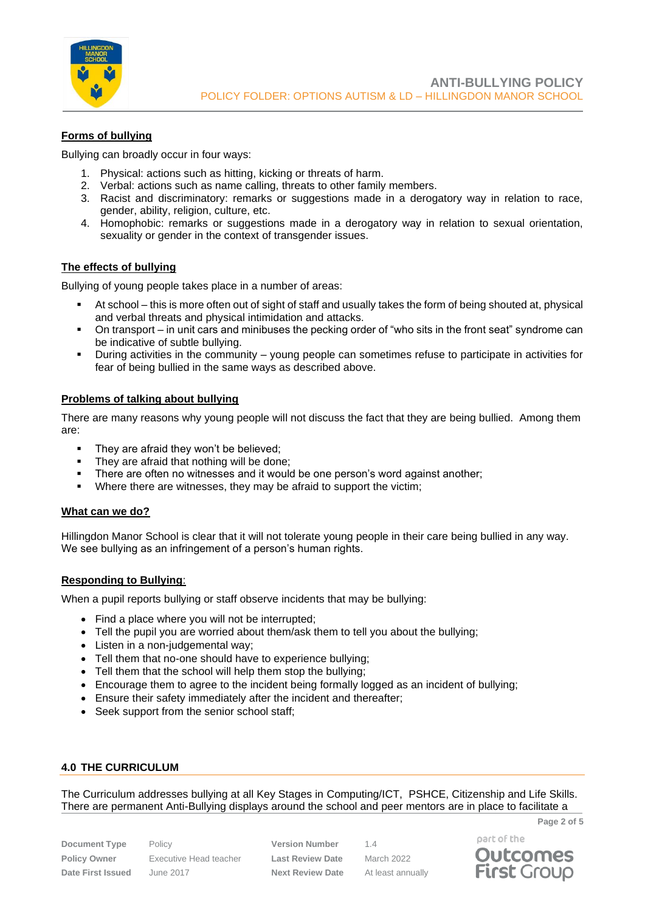

# **Forms of bullying**

Bullying can broadly occur in four ways:

- 1. Physical: actions such as hitting, kicking or threats of harm.
- 2. Verbal: actions such as name calling, threats to other family members.
- 3. Racist and discriminatory: remarks or suggestions made in a derogatory way in relation to race, gender, ability, religion, culture, etc.
- 4. Homophobic: remarks or suggestions made in a derogatory way in relation to sexual orientation, sexuality or gender in the context of transgender issues.

## **The effects of bullying**

Bullying of young people takes place in a number of areas:

- At school this is more often out of sight of staff and usually takes the form of being shouted at, physical and verbal threats and physical intimidation and attacks.
- On transport in unit cars and minibuses the pecking order of "who sits in the front seat" syndrome can be indicative of subtle bullying.
- During activities in the community young people can sometimes refuse to participate in activities for fear of being bullied in the same ways as described above.

### **Problems of talking about bullying**

There are many reasons why young people will not discuss the fact that they are being bullied. Among them are:

- They are afraid they won't be believed;
- They are afraid that nothing will be done;
- There are often no witnesses and it would be one person's word against another;
- Where there are witnesses, they may be afraid to support the victim;

#### **What can we do?**

Hillingdon Manor School is clear that it will not tolerate young people in their care being bullied in any way. We see bullying as an infringement of a person's human rights.

## **Responding to Bullying**:

When a pupil reports bullying or staff observe incidents that may be bullying:

- Find a place where you will not be interrupted;
- Tell the pupil you are worried about them/ask them to tell you about the bullying;
- Listen in a non-judgemental way;
- Tell them that no-one should have to experience bullying;
- Tell them that the school will help them stop the bullying:
- Encourage them to agree to the incident being formally logged as an incident of bullying;
- Ensure their safety immediately after the incident and thereafter;
- Seek support from the senior school staff:

## <span id="page-1-0"></span>**4.0 THE CURRICULUM**

The Curriculum addresses bullying at all Key Stages in Computing/ICT, PSHCE, Citizenship and Life Skills. There are permanent Anti-Bullying displays around the school and peer mentors are in place to facilitate a

**Document Type** Policy **Version Number** 1.4 **Policy Owner** Executive Head teacher **Last Review Date** March 2022 **Date First Issued** June 2017 **Next Review Date** At least annually

part of the



**Page 2 of 5**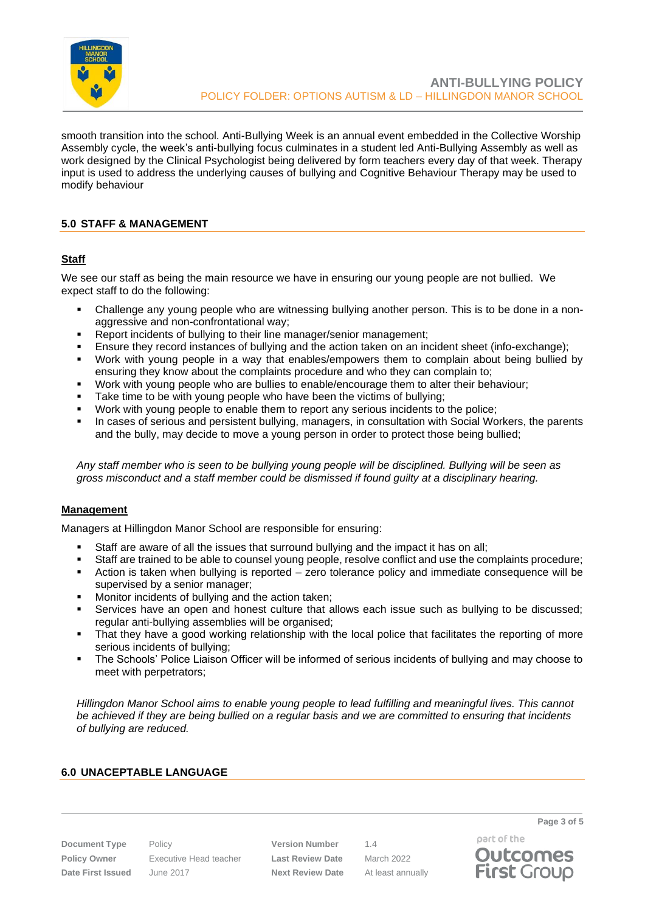

smooth transition into the school. Anti-Bullying Week is an annual event embedded in the Collective Worship Assembly cycle, the week's anti-bullying focus culminates in a student led Anti-Bullying Assembly as well as work designed by the Clinical Psychologist being delivered by form teachers every day of that week. Therapy input is used to address the underlying causes of bullying and Cognitive Behaviour Therapy may be used to modify behaviour

# <span id="page-2-0"></span>**5.0 STAFF & MANAGEMENT**

## **Staff**

We see our staff as being the main resource we have in ensuring our young people are not bullied. We expect staff to do the following:

- Challenge any young people who are witnessing bullying another person. This is to be done in a nonaggressive and non-confrontational way;
- Report incidents of bullying to their line manager/senior management;
- Ensure they record instances of bullying and the action taken on an incident sheet (info-exchange);
- Work with young people in a way that enables/empowers them to complain about being bullied by ensuring they know about the complaints procedure and who they can complain to;
- Work with young people who are bullies to enable/encourage them to alter their behaviour;
- Take time to be with young people who have been the victims of bullying;
- Work with young people to enable them to report any serious incidents to the police;
- In cases of serious and persistent bullying, managers, in consultation with Social Workers, the parents and the bully, may decide to move a young person in order to protect those being bullied;

*Any staff member who is seen to be bullying young people will be disciplined. Bullying will be seen as gross misconduct and a staff member could be dismissed if found guilty at a disciplinary hearing.*

## **Management**

Managers at Hillingdon Manor School are responsible for ensuring:

- Staff are aware of all the issues that surround bullying and the impact it has on all;
- Staff are trained to be able to counsel young people, resolve conflict and use the complaints procedure;
- Action is taken when bullying is reported zero tolerance policy and immediate consequence will be supervised by a senior manager;
- Monitor incidents of bullying and the action taken;
- Services have an open and honest culture that allows each issue such as bullying to be discussed; regular anti-bullying assemblies will be organised;
- That they have a good working relationship with the local police that facilitates the reporting of more serious incidents of bullying;
- The Schools' Police Liaison Officer will be informed of serious incidents of bullying and may choose to meet with perpetrators;

*Hillingdon Manor School aims to enable young people to lead fulfilling and meaningful lives. This cannot be achieved if they are being bullied on a regular basis and we are committed to ensuring that incidents of bullying are reduced.*

## <span id="page-2-1"></span>**6.0 UNACEPTABLE LANGUAGE**

**Policy Owner** Executive Head teacher **Last Review Date** March 2022 **Date First Issued** June 2017 **Next Review Date** At least annually

**Document Type** Policy **Version Number** 1.4

part of the **Outcomes First Group** 

**Page 3 of 5**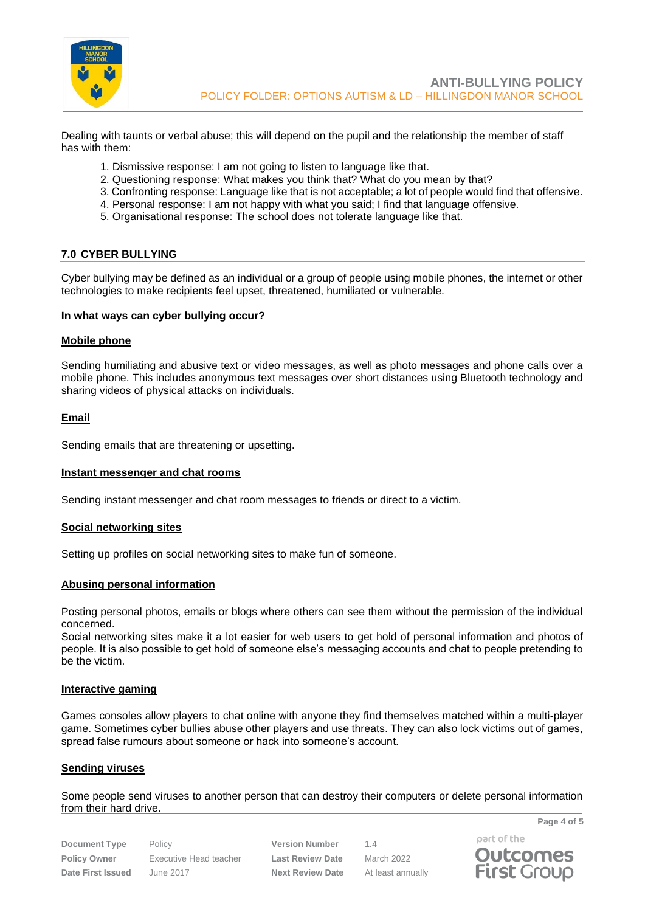

Dealing with taunts or verbal abuse; this will depend on the pupil and the relationship the member of staff has with them:

- 1. Dismissive response: I am not going to listen to language like that.
- 2. Questioning response: What makes you think that? What do you mean by that?
- 3. Confronting response: Language like that is not acceptable; a lot of people would find that offensive.
- 4. Personal response: I am not happy with what you said; I find that language offensive.
- 5. Organisational response: The school does not tolerate language like that.

### <span id="page-3-0"></span>**7.0 CYBER BULLYING**

Cyber bullying may be defined as an individual or a group of people using mobile phones, the internet or other technologies to make recipients feel upset, threatened, humiliated or vulnerable.

#### **In what ways can cyber bullying occur?**

#### **Mobile phone**

Sending humiliating and abusive text or video messages, as well as photo messages and phone calls over a mobile phone. This includes anonymous text messages over short distances using Bluetooth technology and sharing videos of physical attacks on individuals.

#### **Email**

Sending emails that are threatening or upsetting.

#### **Instant messenger and chat rooms**

Sending instant messenger and chat room messages to friends or direct to a victim.

#### **Social networking sites**

Setting up profiles on social networking sites to make fun of someone.

#### **Abusing personal information**

Posting personal photos, emails or blogs where others can see them without the permission of the individual concerned.

Social networking sites make it a lot easier for web users to get hold of personal information and photos of people. It is also possible to get hold of someone else's messaging accounts and chat to people pretending to be the victim.

#### **Interactive gaming**

Games consoles allow players to chat online with anyone they find themselves matched within a multi-player game. Sometimes cyber bullies abuse other players and use threats. They can also lock victims out of games, spread false rumours about someone or hack into someone's account.

#### **Sending viruses**

Some people send viruses to another person that can destroy their computers or delete personal information from their hard drive.

| <b>Document Type</b>     |
|--------------------------|
| <b>Policy Owner</b>      |
| <b>Date First Issued</b> |

Policy **Version Number** 1.4 **Policy Owner** Executive Head teacher **Last Review Date** March 2022 **Date First Issued** June 2017 **Next Review Date** At least annually

part of the **Outcomes First Group** 

**Page 4 of 5**